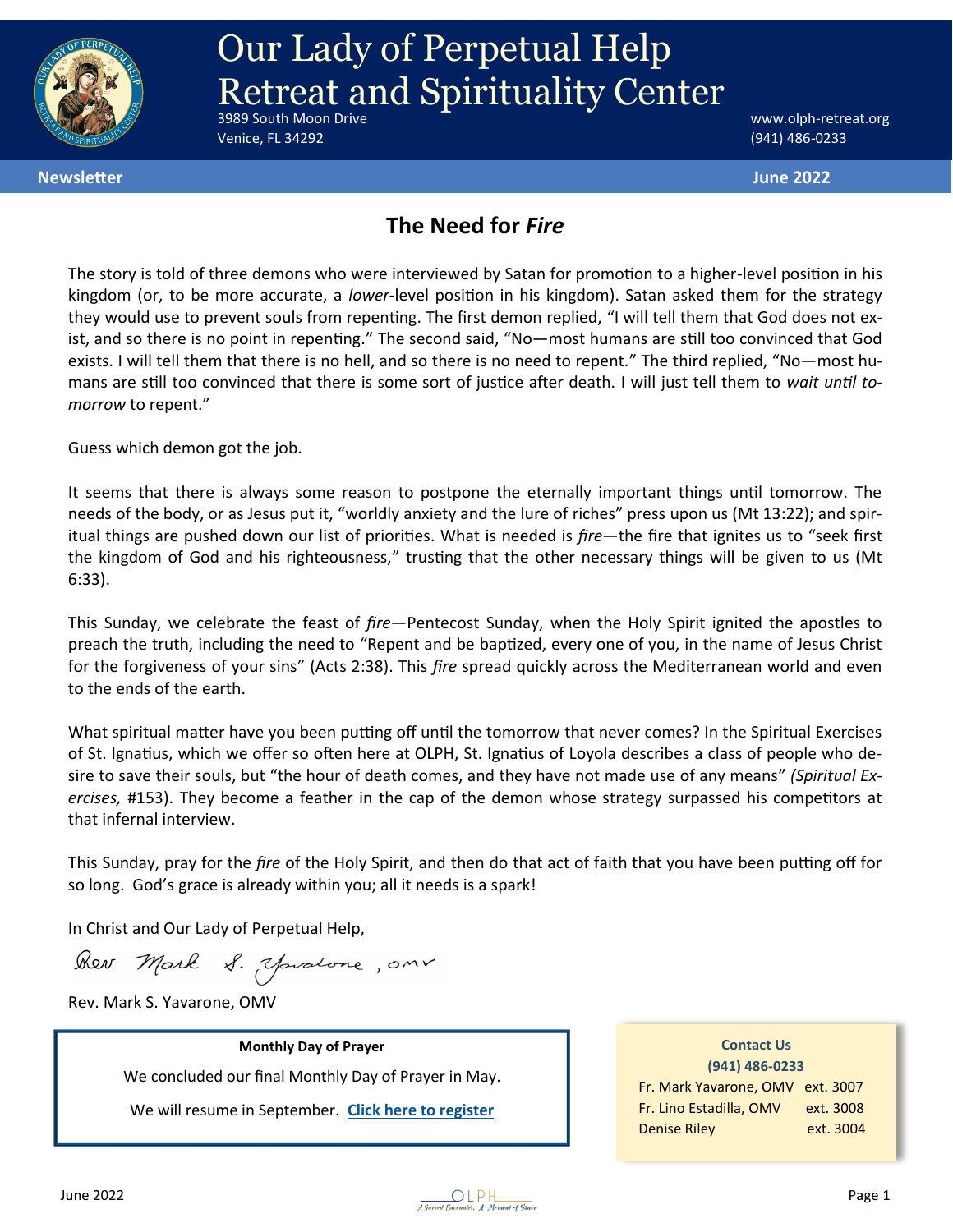

# **Our Lady of Perpetual Help** Retreat and Spirituality Center

Venice, FL 34292 (941) 486-0233

www.olph-[retreat.org](http://www.olph-retreat.org)

**Newsletter June 2022**

#### **The Need for** *Fire*

The story is told of three demons who were interviewed by Satan for promotion to a higher-level position in his kingdom (or, to be more accurate, a *lower-*level position in his kingdom). Satan asked them for the strategy they would use to prevent souls from repenting. The first demon replied, "I will tell them that God does not exist, and so there is no point in repenting." The second said, "No—most humans are still too convinced that God exists. I will tell them that there is no hell, and so there is no need to repent." The third replied, "No—most humans are still too convinced that there is some sort of justice after death. I will just tell them to *wait until tomorrow* to repent."

Guess which demon got the job.

It seems that there is always some reason to postpone the eternally important things until tomorrow. The needs of the body, or as Jesus put it, "worldly anxiety and the lure of riches" press upon us (Mt 13:22); and spiritual things are pushed down our list of priorities. What is needed is *fire*—the fire that ignites us to "seek first the kingdom of God and his righteousness," trusting that the other necessary things will be given to us (Mt 6:33).

This Sunday, we celebrate the feast of *fire*—Pentecost Sunday, when the Holy Spirit ignited the apostles to preach the truth, including the need to "Repent and be baptized, every one of you, in the name of Jesus Christ for the forgiveness of your sins" (Acts 2:38). This *fire* spread quickly across the Mediterranean world and even to the ends of the earth.

What spiritual matter have you been putting off until the tomorrow that never comes? In the Spiritual Exercises of St. Ignatius, which we offer so often here at OLPH, St. Ignatius of Loyola describes a class of people who desire to save their souls, but "the hour of death comes, and they have not made use of any means" *(Spiritual Exercises,* #153). They become a feather in the cap of the demon whose strategy surpassed his competitors at that infernal interview.

This Sunday, pray for the *fire* of the Holy Spirit, and then do that act of faith that you have been putting off for so long. God's grace is already within you; all it needs is a spark!

In Christ and Our Lady of Perpetual Help,

Rev. Mark S. Youatone, onr

Rev. Mark S. Yavarone, OMV

**Monthly Day of Prayer**  We concluded our final Monthly Day of Prayer in May.

We will resume in September. **[Click here to register](https://olph-retreat.org/monthly-day-of-prayer)**

**Contact Us (941) 486-0233** Fr. Mark Yavarone, OMV ext. 3007 Fr. Lino Estadilla, OMV ext. 3008 Denise Riley ext. 3004

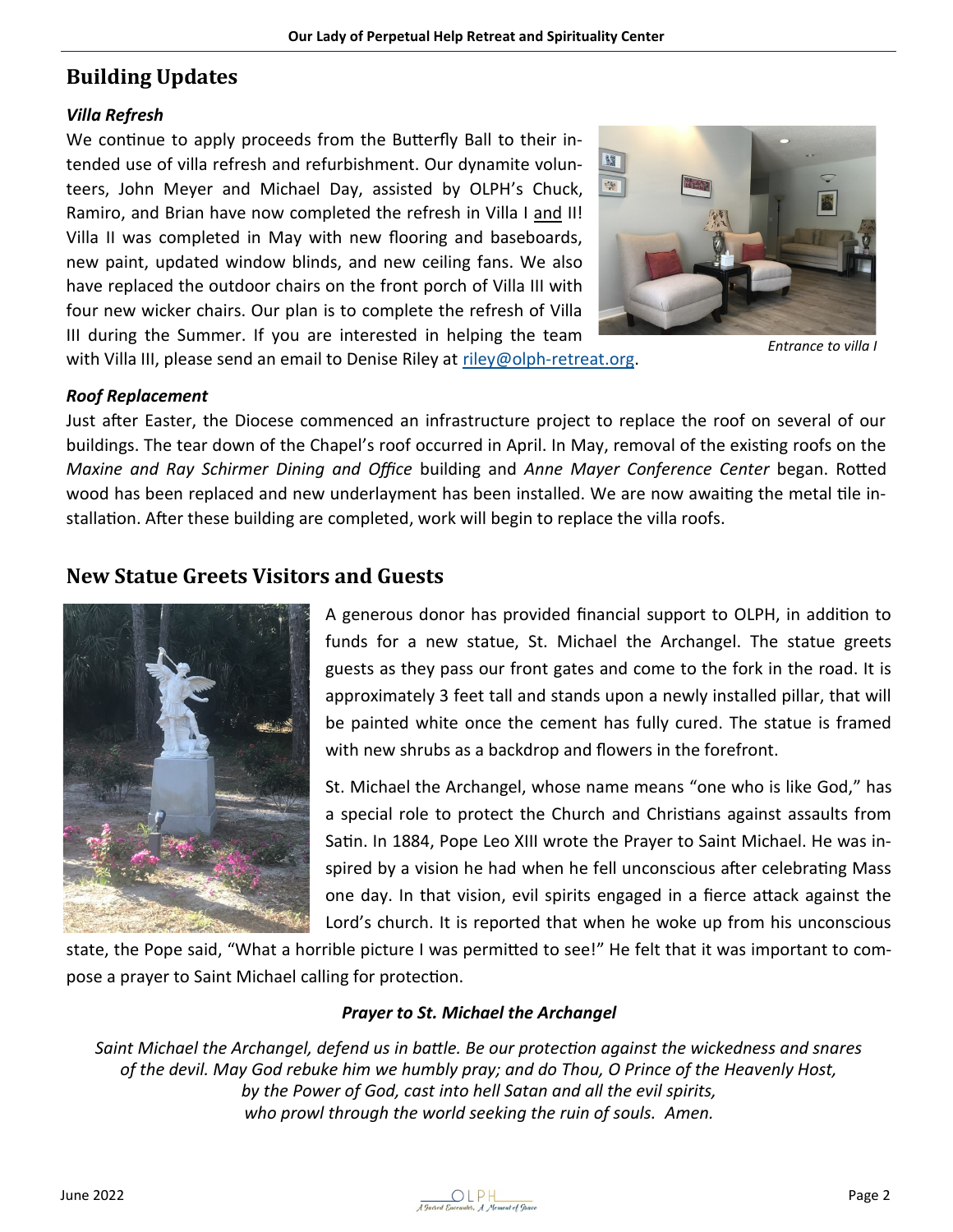#### **Building Updates**

#### *Villa Refresh*

We continue to apply proceeds from the Butterfly Ball to their intended use of villa refresh and refurbishment. Our dynamite volunteers, John Meyer and Michael Day, assisted by OLPH's Chuck, Ramiro, and Brian have now completed the refresh in Villa I and II! Villa II was completed in May with new flooring and baseboards, new paint, updated window blinds, and new ceiling fans. We also have replaced the outdoor chairs on the front porch of Villa III with four new wicker chairs. Our plan is to complete the refresh of Villa III during the Summer. If you are interested in helping the team with Villa III, please send an email to Denise Riley at riley@olph-retreat.org.



*Entrance to villa I*

*Roof Replacement*

Just after Easter, the Diocese commenced an infrastructure project to replace the roof on several of our buildings. The tear down of the Chapel's roof occurred in April. In May, removal of the existing roofs on the *Maxine and Ray Schirmer Dining and Office* building and *Anne Mayer Conference Center* began. Rotted wood has been replaced and new underlayment has been installed. We are now awaiting the metal tile installation. After these building are completed, work will begin to replace the villa roofs.

#### **New Statue Greets Visitors and Guests**



A generous donor has provided financial support to OLPH, in addition to funds for a new statue, St. Michael the Archangel. The statue greets guests as they pass our front gates and come to the fork in the road. It is approximately 3 feet tall and stands upon a newly installed pillar, that will be painted white once the cement has fully cured. The statue is framed with new shrubs as a backdrop and flowers in the forefront.

St. Michael the Archangel, whose name means "one who is like God," has a special role to protect the Church and Christians against assaults from Satin. In 1884, Pope Leo XIII wrote the Prayer to Saint Michael. He was inspired by a vision he had when he fell unconscious after celebrating Mass one day. In that vision, evil spirits engaged in a fierce attack against the Lord's church. It is reported that when he woke up from his unconscious

state, the Pope said, "What a horrible picture I was permitted to see!" He felt that it was important to compose a prayer to Saint Michael calling for protection.

#### *Prayer to St. Michael the Archangel*

*Saint Michael the Archangel, defend us in battle. Be our protection against the wickedness and snares of the devil. May God rebuke him we humbly pray; and do Thou, O Prince of the Heavenly Host, by the Power of God, cast into hell Satan and all the evil spirits, who prowl through the world seeking the ruin of souls. Amen.*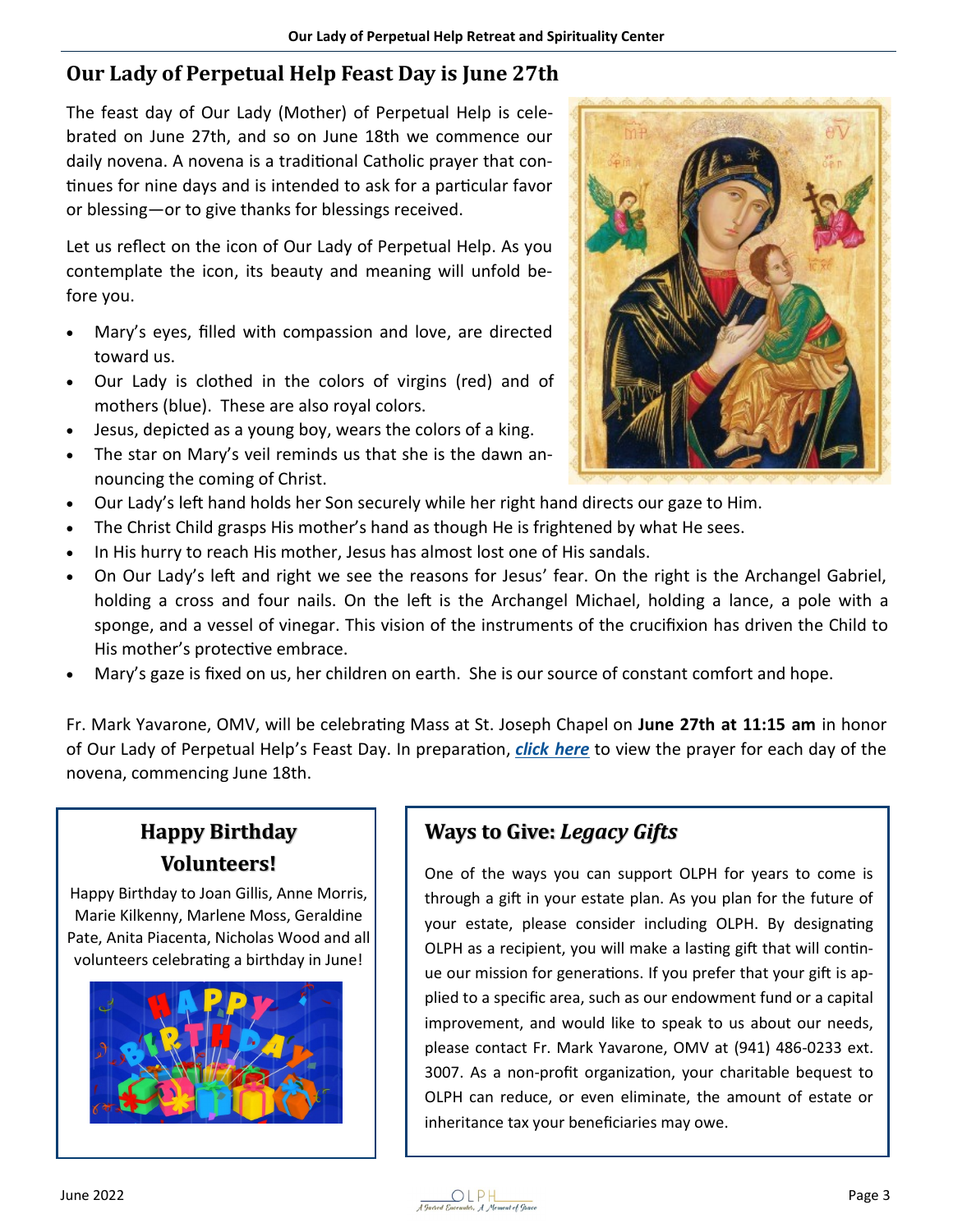### **Our Lady of Perpetual Help Feast Day is June 27th**

The feast day of Our Lady (Mother) of Perpetual Help is celebrated on June 27th, and so on June 18th we commence our daily novena. A novena is a traditional Catholic prayer that continues for nine days and is intended to ask for a particular favor or blessing—or to give thanks for blessings received.

Let us reflect on the icon of Our Lady of Perpetual Help. As you contemplate the icon, its beauty and meaning will unfold before you.

- Mary's eyes, filled with compassion and love, are directed toward us.
- Our Lady is clothed in the colors of virgins (red) and of mothers (blue). These are also royal colors.
- Jesus, depicted as a young boy, wears the colors of a king.
- The star on Mary's veil reminds us that she is the dawn announcing the coming of Christ.
- Our Lady's left hand holds her Son securely while her right hand directs our gaze to Him.
- The Christ Child grasps His mother's hand as though He is frightened by what He sees.
- In His hurry to reach His mother, Jesus has almost lost one of His sandals.
- On Our Lady's left and right we see the reasons for Jesus' fear. On the right is the Archangel Gabriel, holding a cross and four nails. On the left is the Archangel Michael, holding a lance, a pole with a sponge, and a vessel of vinegar. This vision of the instruments of the crucifixion has driven the Child to His mother's protective embrace.
- Mary's gaze is fixed on us, her children on earth. She is our source of constant comfort and hope.

Fr. Mark Yavarone, OMV, will be celebrating Mass at St. Joseph Chapel on **June 27th at 11:15 am** in honor of Our Lady of Perpetual Help's Feast Day. In preparation, *[click here](https://olph-retreat.org/novenatoolph)* to view the prayer for each day of the novena, commencing June 18th.

## **Happy Birthday Volunteers!**

Happy Birthday to Joan Gillis, Anne Morris, Marie Kilkenny, Marlene Moss, Geraldine Pate, Anita Piacenta, Nicholas Wood and all volunteers celebrating a birthday in June!



## **Ways to Give:** *Legacy Gifts*

One of the ways you can support OLPH for years to come is through a gift in your estate plan. As you plan for the future of your estate, please consider including OLPH. By designating OLPH as a recipient, you will make a lasting gift that will continue our mission for generations. If you prefer that your gift is applied to a specific area, such as our endowment fund or a capital improvement, and would like to speak to us about our needs, please contact Fr. Mark Yavarone, OMV at (941) 486-0233 ext. 3007. As a non-profit organization, your charitable bequest to OLPH can reduce, or even eliminate, the amount of estate or inheritance tax your beneficiaries may owe.